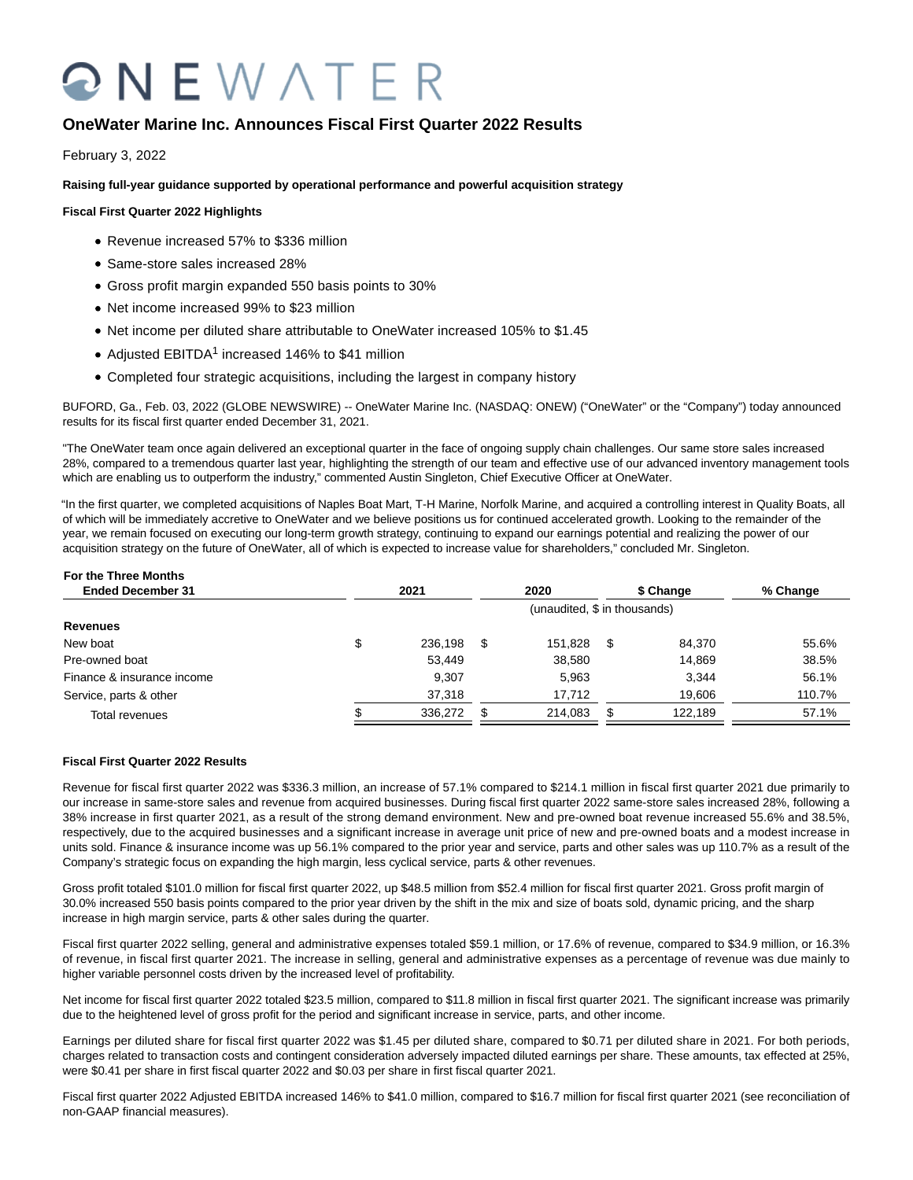# QNEWATER

# **OneWater Marine Inc. Announces Fiscal First Quarter 2022 Results**

February 3, 2022

**Raising full-year guidance supported by operational performance and powerful acquisition strategy**

# **Fiscal First Quarter 2022 Highlights**

- Revenue increased 57% to \$336 million
- Same-store sales increased 28%
- Gross profit margin expanded 550 basis points to 30%
- Net income increased 99% to \$23 million
- Net income per diluted share attributable to OneWater increased 105% to \$1.45
- Adjusted EBITDA<sup>1</sup> increased 146% to \$41 million
- Completed four strategic acquisitions, including the largest in company history

BUFORD, Ga., Feb. 03, 2022 (GLOBE NEWSWIRE) -- OneWater Marine Inc. (NASDAQ: ONEW) ("OneWater" or the "Company") today announced results for its fiscal first quarter ended December 31, 2021.

"The OneWater team once again delivered an exceptional quarter in the face of ongoing supply chain challenges. Our same store sales increased 28%, compared to a tremendous quarter last year, highlighting the strength of our team and effective use of our advanced inventory management tools which are enabling us to outperform the industry," commented Austin Singleton, Chief Executive Officer at OneWater.

"In the first quarter, we completed acquisitions of Naples Boat Mart, T-H Marine, Norfolk Marine, and acquired a controlling interest in Quality Boats, all of which will be immediately accretive to OneWater and we believe positions us for continued accelerated growth. Looking to the remainder of the year, we remain focused on executing our long-term growth strategy, continuing to expand our earnings potential and realizing the power of our acquisition strategy on the future of OneWater, all of which is expected to increase value for shareholders," concluded Mr. Singleton.

# **For the Three Months**

| 2021          |                              | 2020    |   |         | % Change  |  |  |
|---------------|------------------------------|---------|---|---------|-----------|--|--|
|               | (unaudited, \$ in thousands) |         |   |         |           |  |  |
|               |                              |         |   |         |           |  |  |
| \$<br>236.198 | S                            | 151.828 | S | 84.370  | 55.6%     |  |  |
| 53,449        |                              | 38,580  |   | 14.869  | 38.5%     |  |  |
| 9,307         |                              | 5.963   |   | 3,344   | 56.1%     |  |  |
| 37,318        |                              | 17.712  |   | 19.606  | 110.7%    |  |  |
| 336,272       |                              | 214,083 |   | 122.189 | 57.1%     |  |  |
|               |                              |         |   |         | \$ Change |  |  |

# **Fiscal First Quarter 2022 Results**

Revenue for fiscal first quarter 2022 was \$336.3 million, an increase of 57.1% compared to \$214.1 million in fiscal first quarter 2021 due primarily to our increase in same-store sales and revenue from acquired businesses. During fiscal first quarter 2022 same-store sales increased 28%, following a 38% increase in first quarter 2021, as a result of the strong demand environment. New and pre-owned boat revenue increased 55.6% and 38.5%, respectively, due to the acquired businesses and a significant increase in average unit price of new and pre-owned boats and a modest increase in units sold. Finance & insurance income was up 56.1% compared to the prior year and service, parts and other sales was up 110.7% as a result of the Company's strategic focus on expanding the high margin, less cyclical service, parts & other revenues.

Gross profit totaled \$101.0 million for fiscal first quarter 2022, up \$48.5 million from \$52.4 million for fiscal first quarter 2021. Gross profit margin of 30.0% increased 550 basis points compared to the prior year driven by the shift in the mix and size of boats sold, dynamic pricing, and the sharp increase in high margin service, parts & other sales during the quarter.

Fiscal first quarter 2022 selling, general and administrative expenses totaled \$59.1 million, or 17.6% of revenue, compared to \$34.9 million, or 16.3% of revenue, in fiscal first quarter 2021. The increase in selling, general and administrative expenses as a percentage of revenue was due mainly to higher variable personnel costs driven by the increased level of profitability.

Net income for fiscal first quarter 2022 totaled \$23.5 million, compared to \$11.8 million in fiscal first quarter 2021. The significant increase was primarily due to the heightened level of gross profit for the period and significant increase in service, parts, and other income.

Earnings per diluted share for fiscal first quarter 2022 was \$1.45 per diluted share, compared to \$0.71 per diluted share in 2021. For both periods, charges related to transaction costs and contingent consideration adversely impacted diluted earnings per share. These amounts, tax effected at 25%, were \$0.41 per share in first fiscal quarter 2022 and \$0.03 per share in first fiscal quarter 2021.

Fiscal first quarter 2022 Adjusted EBITDA increased 146% to \$41.0 million, compared to \$16.7 million for fiscal first quarter 2021 (see reconciliation of non-GAAP financial measures).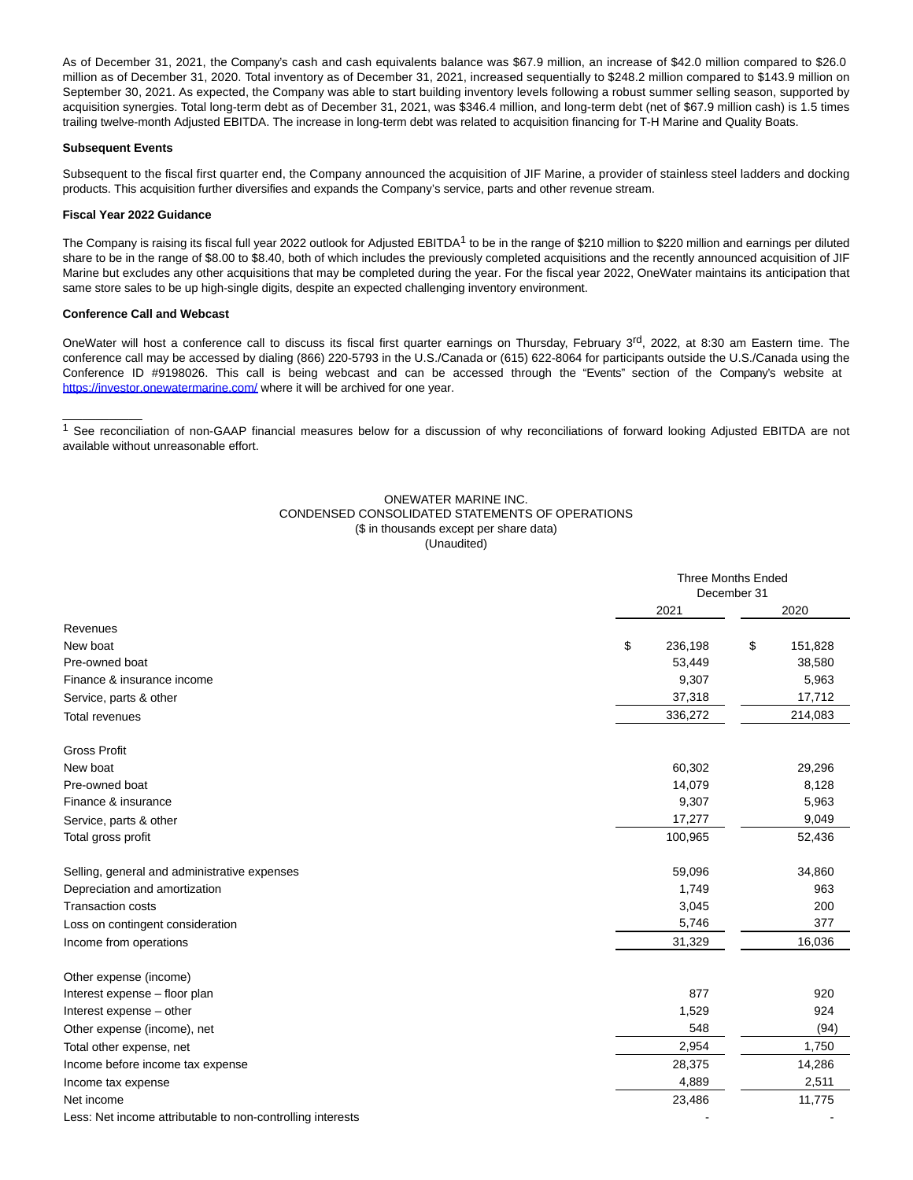As of December 31, 2021, the Company's cash and cash equivalents balance was \$67.9 million, an increase of \$42.0 million compared to \$26.0 million as of December 31, 2020. Total inventory as of December 31, 2021, increased sequentially to \$248.2 million compared to \$143.9 million on September 30, 2021. As expected, the Company was able to start building inventory levels following a robust summer selling season, supported by acquisition synergies. Total long-term debt as of December 31, 2021, was \$346.4 million, and long-term debt (net of \$67.9 million cash) is 1.5 times trailing twelve-month Adjusted EBITDA. The increase in long-term debt was related to acquisition financing for T-H Marine and Quality Boats.

#### **Subsequent Events**

Subsequent to the fiscal first quarter end, the Company announced the acquisition of JIF Marine, a provider of stainless steel ladders and docking products. This acquisition further diversifies and expands the Company's service, parts and other revenue stream.

#### **Fiscal Year 2022 Guidance**

The Company is raising its fiscal full year 2022 outlook for Adjusted EBITDA<sup>1</sup> to be in the range of \$210 million to \$220 million and earnings per diluted share to be in the range of \$8.00 to \$8.40, both of which includes the previously completed acquisitions and the recently announced acquisition of JIF Marine but excludes any other acquisitions that may be completed during the year. For the fiscal year 2022, OneWater maintains its anticipation that same store sales to be up high-single digits, despite an expected challenging inventory environment.

#### **Conference Call and Webcast**

 $\overline{\phantom{a}}$ 

OneWater will host a conference call to discuss its fiscal first quarter earnings on Thursday, February 3<sup>rd</sup>, 2022, at 8:30 am Eastern time. The conference call may be accessed by dialing (866) 220-5793 in the U.S./Canada or (615) 622-8064 for participants outside the U.S./Canada using the Conference ID #9198026. This call is being webcast and can be accessed through the "Events" section of the Company's website at [https://investor.onewatermarine.com/ w](https://www.globenewswire.com/Tracker?data=_uK9n0vrx_b4TU79WbkNKcpd9F6anpEP_oxNxDVpRqoS1g6UKpTA8WUX5KxoR-Gyel28VwhGqatTwdZE32wdBd4aB0BT7D56tEGVp62Nsr8nJOTqtFNn6V4meu6l_qPO)here it will be archived for one year.

<sup>1</sup> See reconciliation of non-GAAP financial measures below for a discussion of why reconciliations of forward looking Adjusted EBITDA are not available without unreasonable effort.

# ONEWATER MARINE INC. CONDENSED CONSOLIDATED STATEMENTS OF OPERATIONS (\$ in thousands except per share data) (Unaudited)

|                                                            |               | <b>Three Months Ended</b><br>December 31 |
|------------------------------------------------------------|---------------|------------------------------------------|
|                                                            | 2021          | 2020                                     |
| Revenues                                                   |               |                                          |
| New boat                                                   | \$<br>236,198 | \$<br>151,828                            |
| Pre-owned boat                                             | 53,449        | 38,580                                   |
| Finance & insurance income                                 | 9,307         | 5,963                                    |
| Service, parts & other                                     | 37,318        | 17,712                                   |
| Total revenues                                             | 336,272       | 214,083                                  |
| <b>Gross Profit</b>                                        |               |                                          |
| New boat                                                   | 60,302        | 29,296                                   |
| Pre-owned boat                                             | 14,079        | 8,128                                    |
| Finance & insurance                                        | 9,307         | 5,963                                    |
| Service, parts & other                                     | 17,277        | 9,049                                    |
| Total gross profit                                         | 100,965       | 52,436                                   |
| Selling, general and administrative expenses               | 59,096        | 34,860                                   |
| Depreciation and amortization                              | 1,749         | 963                                      |
| <b>Transaction costs</b>                                   | 3,045         | 200                                      |
| Loss on contingent consideration                           | 5,746         | 377                                      |
| Income from operations                                     | 31,329        | 16,036                                   |
| Other expense (income)                                     |               |                                          |
| Interest expense - floor plan                              | 877           | 920                                      |
| Interest expense - other                                   | 1,529         | 924                                      |
| Other expense (income), net                                | 548           | (94)                                     |
| Total other expense, net                                   | 2,954         | 1,750                                    |
| Income before income tax expense                           | 28,375        | 14,286                                   |
| Income tax expense                                         | 4,889         | 2,511                                    |
| Net income                                                 | 23,486        | 11,775                                   |
| Less: Net income attributable to non-controlling interests |               |                                          |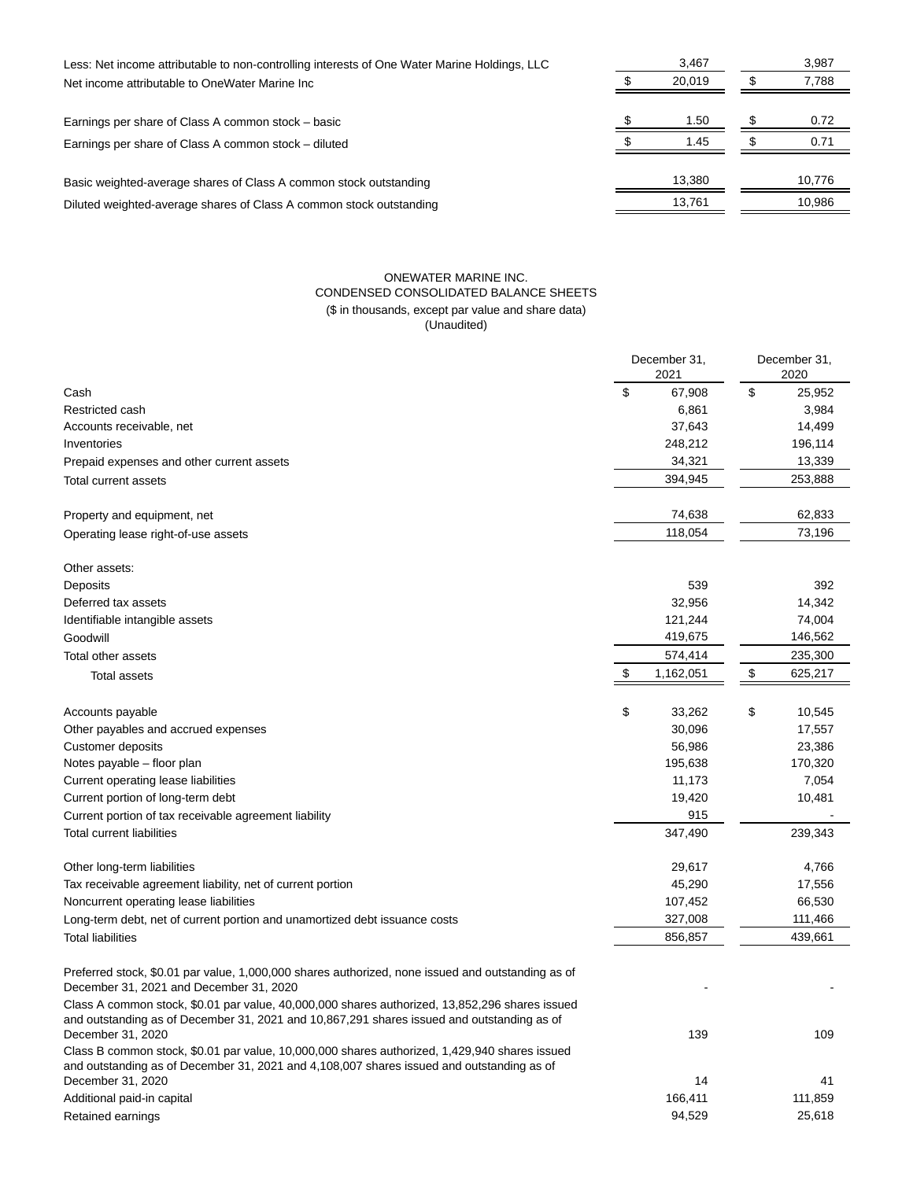| Less: Net income attributable to non-controlling interests of One Water Marine Holdings, LLC | 3.467  | 3,987  |  |
|----------------------------------------------------------------------------------------------|--------|--------|--|
| Net income attributable to OneWater Marine Inc                                               | 20.019 | 7,788  |  |
| Earnings per share of Class A common stock – basic                                           | 1.50   | 0.72   |  |
| Earnings per share of Class A common stock - diluted                                         | 1.45   | 0.71   |  |
| Basic weighted-average shares of Class A common stock outstanding                            | 13.380 | 10,776 |  |
| Diluted weighted-average shares of Class A common stock outstanding                          | 13,761 | 10,986 |  |
|                                                                                              |        |        |  |

# ONEWATER MARINE INC. CONDENSED CONSOLIDATED BALANCE SHEETS (\$ in thousands, except par value and share data) (Unaudited)

|                                                                                                                                                                                                                   |    | December 31.<br>2021 |    | December 31,<br>2020 |  |
|-------------------------------------------------------------------------------------------------------------------------------------------------------------------------------------------------------------------|----|----------------------|----|----------------------|--|
| Cash                                                                                                                                                                                                              | \$ | 67,908               | \$ | 25,952               |  |
| Restricted cash                                                                                                                                                                                                   |    | 6,861                |    | 3,984                |  |
| Accounts receivable, net                                                                                                                                                                                          |    | 37,643               |    | 14,499               |  |
| Inventories                                                                                                                                                                                                       |    | 248,212              |    | 196,114              |  |
| Prepaid expenses and other current assets                                                                                                                                                                         |    | 34,321               |    | 13,339               |  |
| Total current assets                                                                                                                                                                                              |    | 394,945              |    | 253,888              |  |
| Property and equipment, net                                                                                                                                                                                       |    | 74,638               |    | 62,833               |  |
| Operating lease right-of-use assets                                                                                                                                                                               |    | 118,054              |    | 73,196               |  |
| Other assets:                                                                                                                                                                                                     |    |                      |    |                      |  |
| Deposits                                                                                                                                                                                                          |    | 539                  |    | 392                  |  |
| Deferred tax assets                                                                                                                                                                                               |    | 32,956               |    | 14,342               |  |
| Identifiable intangible assets                                                                                                                                                                                    |    | 121,244              |    | 74,004               |  |
| Goodwill                                                                                                                                                                                                          |    | 419,675              |    | 146,562              |  |
| <b>Total other assets</b>                                                                                                                                                                                         |    | 574,414              |    | 235,300              |  |
| <b>Total assets</b>                                                                                                                                                                                               | \$ | 1,162,051            | \$ | 625,217              |  |
| Accounts payable                                                                                                                                                                                                  | \$ | 33,262               | \$ | 10,545               |  |
| Other payables and accrued expenses                                                                                                                                                                               |    | 30,096               |    | 17,557               |  |
| Customer deposits                                                                                                                                                                                                 |    | 56,986               |    | 23,386               |  |
| Notes payable – floor plan                                                                                                                                                                                        |    | 195,638              |    | 170,320              |  |
| Current operating lease liabilities                                                                                                                                                                               |    | 11,173               |    | 7,054                |  |
| Current portion of long-term debt                                                                                                                                                                                 |    | 19,420               |    | 10,481               |  |
| Current portion of tax receivable agreement liability                                                                                                                                                             |    | 915                  |    |                      |  |
| <b>Total current liabilities</b>                                                                                                                                                                                  |    | 347,490              |    | 239,343              |  |
| Other long-term liabilities                                                                                                                                                                                       |    | 29,617               |    | 4,766                |  |
| Tax receivable agreement liability, net of current portion                                                                                                                                                        |    | 45,290               |    | 17,556               |  |
| Noncurrent operating lease liabilities                                                                                                                                                                            |    | 107,452              |    | 66,530               |  |
| Long-term debt, net of current portion and unamortized debt issuance costs                                                                                                                                        |    | 327,008              |    | 111,466              |  |
| <b>Total liabilities</b>                                                                                                                                                                                          |    | 856,857              |    | 439,661              |  |
| Preferred stock, \$0.01 par value, 1,000,000 shares authorized, none issued and outstanding as of<br>December 31, 2021 and December 31, 2020                                                                      |    |                      |    |                      |  |
| Class A common stock, \$0.01 par value, 40,000,000 shares authorized, 13,852,296 shares issued<br>and outstanding as of December 31, 2021 and 10,867,291 shares issued and outstanding as of<br>December 31, 2020 |    | 139                  |    | 109                  |  |
| Class B common stock, \$0.01 par value, 10,000,000 shares authorized, 1,429,940 shares issued<br>and outstanding as of December 31, 2021 and 4,108,007 shares issued and outstanding as of                        |    |                      |    |                      |  |
| December 31, 2020                                                                                                                                                                                                 |    | 14                   |    | 41                   |  |
| Additional paid-in capital                                                                                                                                                                                        |    | 166,411              |    | 111,859              |  |
| Retained earnings                                                                                                                                                                                                 |    | 94,529               |    | 25,618               |  |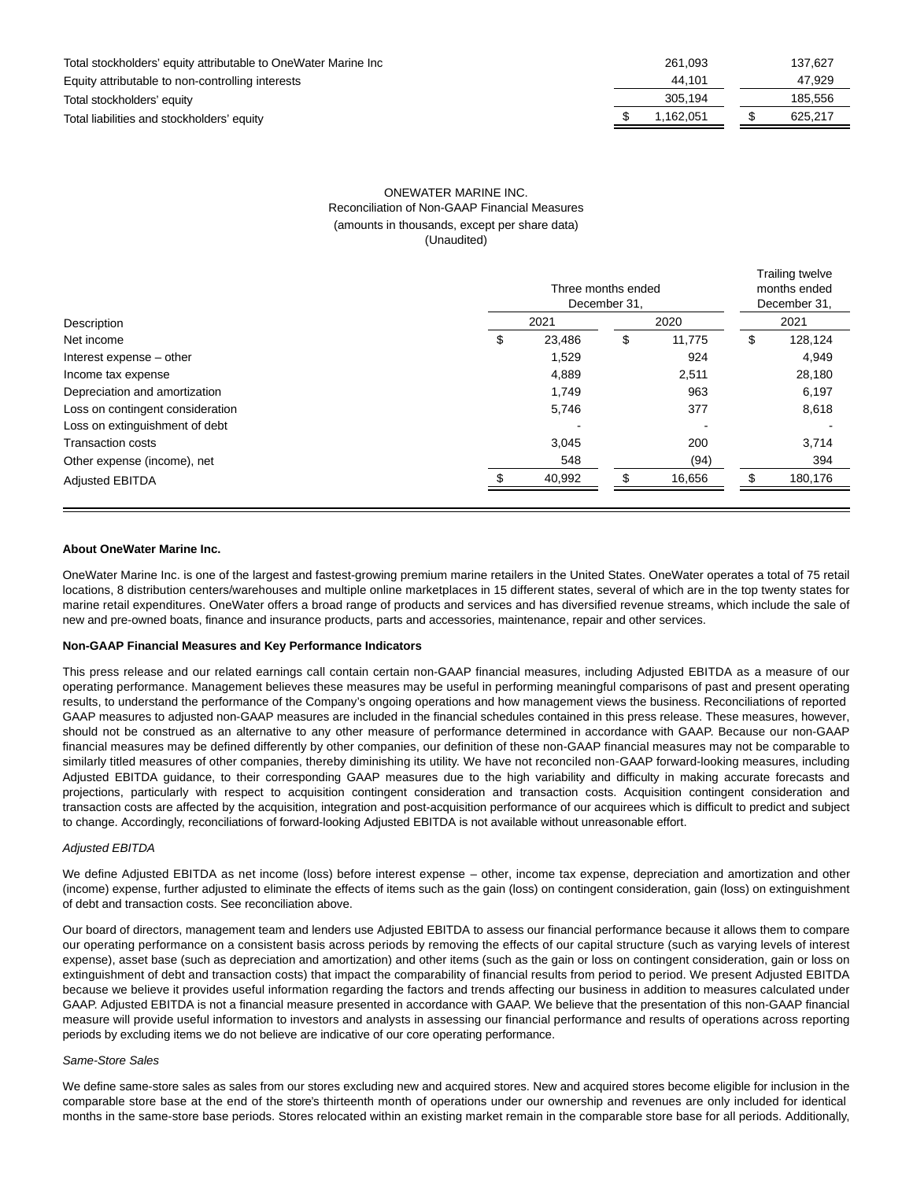| Total stockholders' equity attributable to OneWater Marine Inc | 261.093  | 137.627 |
|----------------------------------------------------------------|----------|---------|
| Equity attributable to non-controlling interests               | 44.101   | 47,929  |
| Total stockholders' equity                                     | 305.194  | 185,556 |
| Total liabilities and stockholders' equity                     | .162.051 | 625.217 |

# ONEWATER MARINE INC. Reconciliation of Non-GAAP Financial Measures (amounts in thousands, except per share data) (Unaudited)

|                                  | Three months ended<br>December 31. |        |      |        |      | Trailing twelve<br>months ended<br>December 31, |  |  |
|----------------------------------|------------------------------------|--------|------|--------|------|-------------------------------------------------|--|--|
| Description                      | 2021                               |        | 2020 |        | 2021 |                                                 |  |  |
| Net income                       | \$                                 | 23.486 | \$   | 11.775 | S    | 128,124                                         |  |  |
| Interest expense – other         |                                    | 1,529  |      | 924    |      | 4,949                                           |  |  |
| Income tax expense               |                                    | 4,889  |      | 2,511  |      | 28,180                                          |  |  |
| Depreciation and amortization    |                                    | 1.749  |      | 963    |      | 6,197                                           |  |  |
| Loss on contingent consideration |                                    | 5,746  |      | 377    |      | 8,618                                           |  |  |
| Loss on extinguishment of debt   |                                    |        |      |        |      |                                                 |  |  |
| <b>Transaction costs</b>         |                                    | 3,045  |      | 200    |      | 3,714                                           |  |  |
| Other expense (income), net      |                                    | 548    |      | (94)   |      | 394                                             |  |  |
| <b>Adjusted EBITDA</b>           |                                    | 40,992 |      | 16,656 |      | 180,176                                         |  |  |

# **About OneWater Marine Inc.**

OneWater Marine Inc. is one of the largest and fastest-growing premium marine retailers in the United States. OneWater operates a total of 75 retail locations, 8 distribution centers/warehouses and multiple online marketplaces in 15 different states, several of which are in the top twenty states for marine retail expenditures. OneWater offers a broad range of products and services and has diversified revenue streams, which include the sale of new and pre-owned boats, finance and insurance products, parts and accessories, maintenance, repair and other services.

#### **Non-GAAP Financial Measures and Key Performance Indicators**

This press release and our related earnings call contain certain non-GAAP financial measures, including Adjusted EBITDA as a measure of our operating performance. Management believes these measures may be useful in performing meaningful comparisons of past and present operating results, to understand the performance of the Company's ongoing operations and how management views the business. Reconciliations of reported GAAP measures to adjusted non-GAAP measures are included in the financial schedules contained in this press release. These measures, however, should not be construed as an alternative to any other measure of performance determined in accordance with GAAP. Because our non-GAAP financial measures may be defined differently by other companies, our definition of these non-GAAP financial measures may not be comparable to similarly titled measures of other companies, thereby diminishing its utility. We have not reconciled non-GAAP forward-looking measures, including Adjusted EBITDA guidance, to their corresponding GAAP measures due to the high variability and difficulty in making accurate forecasts and projections, particularly with respect to acquisition contingent consideration and transaction costs. Acquisition contingent consideration and transaction costs are affected by the acquisition, integration and post-acquisition performance of our acquirees which is difficult to predict and subject to change. Accordingly, reconciliations of forward-looking Adjusted EBITDA is not available without unreasonable effort.

#### Adjusted EBITDA

We define Adjusted EBITDA as net income (loss) before interest expense – other, income tax expense, depreciation and amortization and other (income) expense, further adjusted to eliminate the effects of items such as the gain (loss) on contingent consideration, gain (loss) on extinguishment of debt and transaction costs. See reconciliation above.

Our board of directors, management team and lenders use Adjusted EBITDA to assess our financial performance because it allows them to compare our operating performance on a consistent basis across periods by removing the effects of our capital structure (such as varying levels of interest expense), asset base (such as depreciation and amortization) and other items (such as the gain or loss on contingent consideration, gain or loss on extinguishment of debt and transaction costs) that impact the comparability of financial results from period to period. We present Adjusted EBITDA because we believe it provides useful information regarding the factors and trends affecting our business in addition to measures calculated under GAAP. Adjusted EBITDA is not a financial measure presented in accordance with GAAP. We believe that the presentation of this non-GAAP financial measure will provide useful information to investors and analysts in assessing our financial performance and results of operations across reporting periods by excluding items we do not believe are indicative of our core operating performance.

#### Same-Store Sales

We define same-store sales as sales from our stores excluding new and acquired stores. New and acquired stores become eligible for inclusion in the comparable store base at the end of the store's thirteenth month of operations under our ownership and revenues are only included for identical months in the same-store base periods. Stores relocated within an existing market remain in the comparable store base for all periods. Additionally,